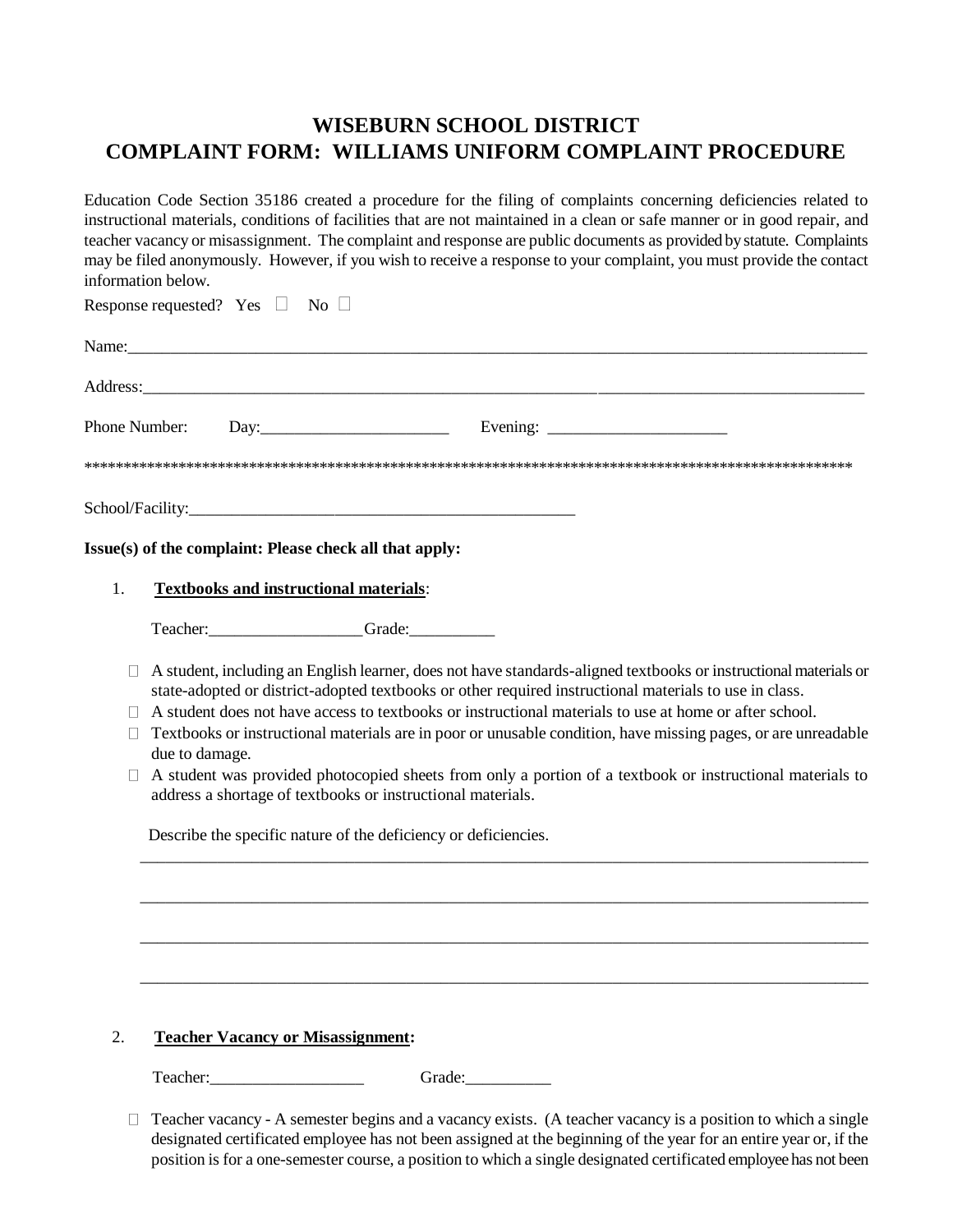## **WISEBURN SCHOOL DISTRICT COMPLAINT FORM: WILLIAMS UNIFORM COMPLAINT PROCEDURE**

Education Code Section 35186 created a procedure for the filing of complaints concerning deficiencies related to instructional materials, conditions of facilities that are not maintained in a clean or safe manner or in good repair, and teacher vacancy or misassignment. The complaint and response are public documents as provided by statute. Complaints may be filed anonymously. However, if you wish to receive a response to your complaint, you must provide the contact information below.

Response requested? Yes  $\Box$  No  $\Box$ Name: Address: Phone Number: Day:\_\_\_\_\_\_\_\_\_\_\_\_\_\_\_\_\_\_\_\_\_\_\_\_\_\_\_ Evening: \_\_\_\_\_\_\_\_\_\_\_\_\_\_\_\_\_\_\_\_\_\_\_\_\_\_ \*\*\*\*\*\*\*\*\*\*\*\*\*\*\*\*\*\*\*\*\*\*\*\*\*\*\*\*\*\*\*\*\*\*\*\*\*\*\*\*\*\*\*\*\*\*\*\*\*\*\*\*\*\*\*\*\*\*\*\*\*\*\*\*\*\*\*\*\*\*\*\*\*\*\*\*\*\*\*\*\*\*\*\*\*\*\*\*\*\*\*\*\*\*\*\*\*\* School/Facility:\_\_\_\_\_\_\_\_\_\_\_\_\_\_\_\_\_\_\_\_\_\_\_\_\_\_\_\_\_\_\_\_\_\_\_\_\_\_\_\_\_\_\_\_\_

**Issue(s) of the complaint: Please check all that apply:**

1. **Textbooks and instructional materials**:

Teacher:\_\_\_\_\_\_\_\_\_\_\_\_\_\_\_\_\_\_Grade:\_\_\_\_\_\_\_\_\_\_

- $\Box$  A student, including an English learner, does not have standards-aligned textbooks or instructional materials or state-adopted or district-adopted textbooks or other required instructional materials to use in class.
- $\Box$  A student does not have access to textbooks or instructional materials to use at home or after school.
- $\Box$  Textbooks or instructional materials are in poor or unusable condition, have missing pages, or are unreadable due to damage.
- $\Box$  A student was provided photocopied sheets from only a portion of a textbook or instructional materials to address a shortage of textbooks or instructional materials.

\_\_\_\_\_\_\_\_\_\_\_\_\_\_\_\_\_\_\_\_\_\_\_\_\_\_\_\_\_\_\_\_\_\_\_\_\_\_\_\_\_\_\_\_\_\_\_\_\_\_\_\_\_\_\_\_\_\_\_\_\_\_\_\_\_\_\_\_\_\_\_\_\_\_\_\_\_\_\_\_\_\_\_\_\_

\_\_\_\_\_\_\_\_\_\_\_\_\_\_\_\_\_\_\_\_\_\_\_\_\_\_\_\_\_\_\_\_\_\_\_\_\_\_\_\_\_\_\_\_\_\_\_\_\_\_\_\_\_\_\_\_\_\_\_\_\_\_\_\_\_\_\_\_\_\_\_\_\_\_\_\_\_\_\_\_\_\_\_\_\_

\_\_\_\_\_\_\_\_\_\_\_\_\_\_\_\_\_\_\_\_\_\_\_\_\_\_\_\_\_\_\_\_\_\_\_\_\_\_\_\_\_\_\_\_\_\_\_\_\_\_\_\_\_\_\_\_\_\_\_\_\_\_\_\_\_\_\_\_\_\_\_\_\_\_\_\_\_\_\_\_\_\_\_\_\_

\_\_\_\_\_\_\_\_\_\_\_\_\_\_\_\_\_\_\_\_\_\_\_\_\_\_\_\_\_\_\_\_\_\_\_\_\_\_\_\_\_\_\_\_\_\_\_\_\_\_\_\_\_\_\_\_\_\_\_\_\_\_\_\_\_\_\_\_\_\_\_\_\_\_\_\_\_\_\_\_\_\_\_\_\_

Describe the specific nature of the deficiency or deficiencies.

## 2. **Teacher Vacancy or Misassignment:**

Teacher: The Grade:

 $\Box$  Teacher vacancy - A semester begins and a vacancy exists. (A teacher vacancy is a position to which a single designated certificated employee has not been assigned at the beginning of the year for an entire year or, if the position is for a one-semester course, a position to which a single designated certificated employee has not been